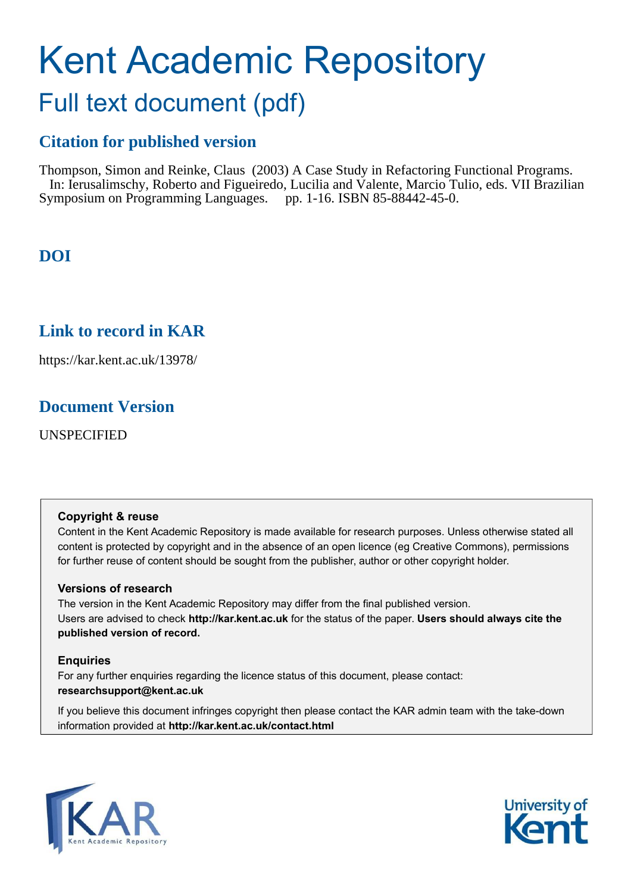# Kent Academic Repository Full text document (pdf)

# **Citation for published version**

Thompson, Simon and Reinke, Claus (2003) A Case Study in Refactoring Functional Programs. In: Ierusalimschy, Roberto and Figueiredo, Lucilia and Valente, Marcio Tulio, eds. VII Brazilian Symposium on Programming Languages. pp. 1-16. ISBN 85-88442-45-0.

# **DOI**

# **Link to record in KAR**

https://kar.kent.ac.uk/13978/

# **Document Version**

UNSPECIFIED

#### **Copyright & reuse**

Content in the Kent Academic Repository is made available for research purposes. Unless otherwise stated all content is protected by copyright and in the absence of an open licence (eg Creative Commons), permissions for further reuse of content should be sought from the publisher, author or other copyright holder.

#### **Versions of research**

The version in the Kent Academic Repository may differ from the final published version. Users are advised to check **http://kar.kent.ac.uk** for the status of the paper. **Users should always cite the published version of record.**

#### **Enquiries**

For any further enquiries regarding the licence status of this document, please contact: **researchsupport@kent.ac.uk**

If you believe this document infringes copyright then please contact the KAR admin team with the take-down information provided at **http://kar.kent.ac.uk/contact.html**



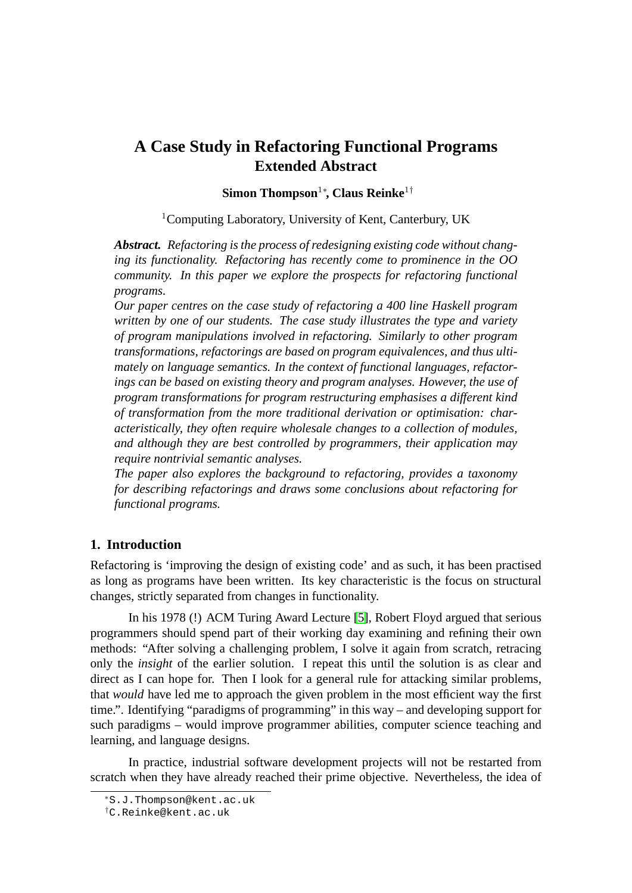## **A Case Study in Refactoring Functional Programs Extended Abstract**

**Simon Thompson**<sup>1</sup><sup>∗</sup> **, Claus Reinke**<sup>1</sup>†

<sup>1</sup>Computing Laboratory, University of Kent, Canterbury, UK

*Abstract. Refactoring is the process of redesigning existing code without changing its functionality. Refactoring has recently come to prominence in the OO community. In this paper we explore the prospects for refactoring functional programs.*

*Our paper centres on the case study of refactoring a 400 line Haskell program written by one of our students. The case study illustrates the type and variety of program manipulations involved in refactoring. Similarly to other program transformations, refactorings are based on program equivalences, and thus ultimately on language semantics. In the context of functional languages, refactorings can be based on existing theory and program analyses. However, the use of program transformations for program restructuring emphasises a different kind of transformation from the more traditional derivation or optimisation: characteristically, they often require wholesale changes to a collection of modules, and although they are best controlled by programmers, their application may require nontrivial semantic analyses.*

*The paper also explores the background to refactoring, provides a taxonomy for describing refactorings and draws some conclusions about refactoring for functional programs.*

#### **1. Introduction**

Refactoring is 'improving the design of existing code' and as such, it has been practised as long as programs have been written. Its key characteristic is the focus on structural changes, strictly separated from changes in functionality.

In his 1978 (!) ACM Turing Award Lecture [\[5\]](#page-14-0), Robert Floyd argued that serious programmers should spend part of their working day examining and refining their own methods: "After solving a challenging problem, I solve it again from scratch, retracing only the *insight* of the earlier solution. I repeat this until the solution is as clear and direct as I can hope for. Then I look for a general rule for attacking similar problems, that *would* have led me to approach the given problem in the most efficient way the first time.". Identifying "paradigms of programming" in this way – and developing support for such paradigms – would improve programmer abilities, computer science teaching and learning, and language designs.

In practice, industrial software development projects will not be restarted from scratch when they have already reached their prime objective. Nevertheless, the idea of

<sup>∗</sup>S.J.Thompson@kent.ac.uk

<sup>†</sup>C.Reinke@kent.ac.uk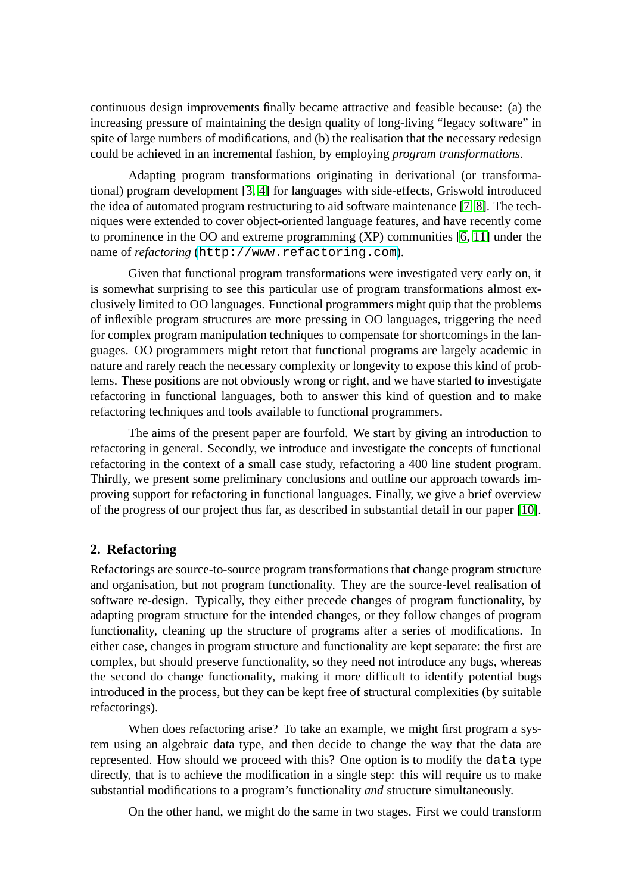continuous design improvements finally became attractive and feasible because: (a) the increasing pressure of maintaining the design quality of long-living "legacy software" in spite of large numbers of modifications, and (b) the realisation that the necessary redesign could be achieved in an incremental fashion, by employing *program transformations*.

Adapting program transformations originating in derivational (or transformational) program development [\[3,](#page-14-1) [4\]](#page-14-2) for languages with side-effects, Griswold introduced the idea of automated program restructuring to aid software maintenance [\[7,](#page-15-0) [8\]](#page-15-1). The techniques were extended to cover object-oriented language features, and have recently come to prominence in the OO and extreme programming (XP) communities [\[6,](#page-15-2) [11\]](#page-15-3) under the name of *refactoring* (<http://www.refactoring.com>).

Given that functional program transformations were investigated very early on, it is somewhat surprising to see this particular use of program transformations almost exclusively limited to OO languages. Functional programmers might quip that the problems of inflexible program structures are more pressing in OO languages, triggering the need for complex program manipulation techniques to compensate for shortcomings in the languages. OO programmers might retort that functional programs are largely academic in nature and rarely reach the necessary complexity or longevity to expose this kind of problems. These positions are not obviously wrong or right, and we have started to investigate refactoring in functional languages, both to answer this kind of question and to make refactoring techniques and tools available to functional programmers.

The aims of the present paper are fourfold. We start by giving an introduction to refactoring in general. Secondly, we introduce and investigate the concepts of functional refactoring in the context of a small case study, refactoring a 400 line student program. Thirdly, we present some preliminary conclusions and outline our approach towards improving support for refactoring in functional languages. Finally, we give a brief overview of the progress of our project thus far, as described in substantial detail in our paper [\[10\]](#page-15-4).

#### **2. Refactoring**

Refactorings are source-to-source program transformations that change program structure and organisation, but not program functionality. They are the source-level realisation of software re-design. Typically, they either precede changes of program functionality, by adapting program structure for the intended changes, or they follow changes of program functionality, cleaning up the structure of programs after a series of modifications. In either case, changes in program structure and functionality are kept separate: the first are complex, but should preserve functionality, so they need not introduce any bugs, whereas the second do change functionality, making it more difficult to identify potential bugs introduced in the process, but they can be kept free of structural complexities (by suitable refactorings).

When does refactoring arise? To take an example, we might first program a system using an algebraic data type, and then decide to change the way that the data are represented. How should we proceed with this? One option is to modify the data type directly, that is to achieve the modification in a single step: this will require us to make substantial modifications to a program's functionality *and* structure simultaneously.

On the other hand, we might do the same in two stages. First we could transform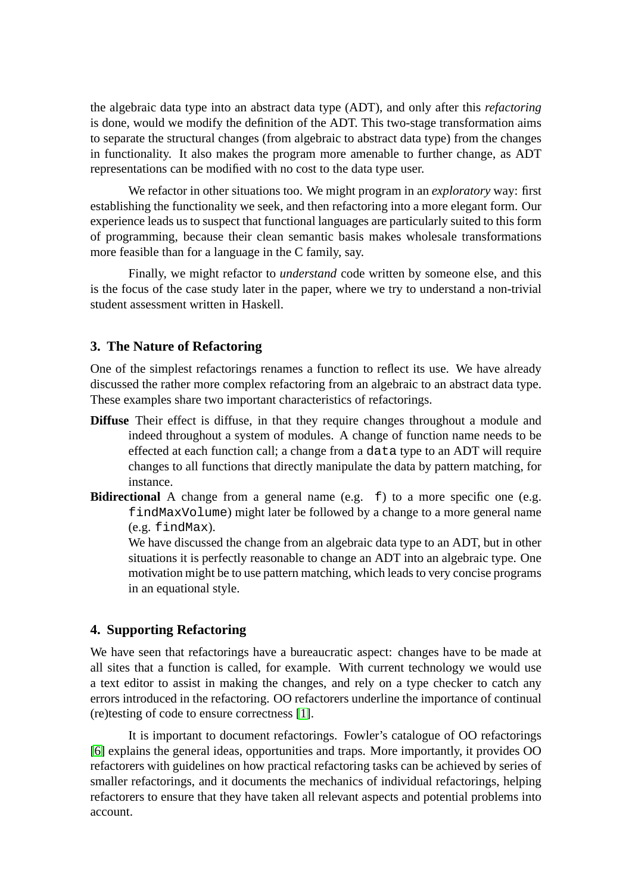the algebraic data type into an abstract data type (ADT), and only after this *refactoring* is done, would we modify the definition of the ADT. This two-stage transformation aims to separate the structural changes (from algebraic to abstract data type) from the changes in functionality. It also makes the program more amenable to further change, as ADT representations can be modified with no cost to the data type user.

We refactor in other situations too. We might program in an *exploratory* way: first establishing the functionality we seek, and then refactoring into a more elegant form. Our experience leads us to suspect that functional languages are particularly suited to this form of programming, because their clean semantic basis makes wholesale transformations more feasible than for a language in the C family, say.

Finally, we might refactor to *understand* code written by someone else, and this is the focus of the case study later in the paper, where we try to understand a non-trivial student assessment written in Haskell.

#### **3. The Nature of Refactoring**

One of the simplest refactorings renames a function to reflect its use. We have already discussed the rather more complex refactoring from an algebraic to an abstract data type. These examples share two important characteristics of refactorings.

- <span id="page-3-0"></span>**Diffuse** Their effect is diffuse, in that they require changes throughout a module and indeed throughout a system of modules. A change of function name needs to be effected at each function call; a change from a data type to an ADT will require changes to all functions that directly manipulate the data by pattern matching, for instance.
- **Bidirectional** A change from a general name (e.g. f) to a more specific one (e.g. findMaxVolume) might later be followed by a change to a more general name (e.g. findMax).

We have discussed the change from an algebraic data type to an ADT, but in other situations it is perfectly reasonable to change an ADT into an algebraic type. One motivation might be to use pattern matching, which leads to very concise programs in an equational style.

#### **4. Supporting Refactoring**

We have seen that refactorings have a bureaucratic aspect: changes have to be made at all sites that a function is called, for example. With current technology we would use a text editor to assist in making the changes, and rely on a type checker to catch any errors introduced in the refactoring. OO refactorers underline the importance of continual (re)testing of code to ensure correctness [\[1\]](#page-14-3).

It is important to document refactorings. Fowler's catalogue of OO refactorings [\[6\]](#page-15-2) explains the general ideas, opportunities and traps. More importantly, it provides OO refactorers with guidelines on how practical refactoring tasks can be achieved by series of smaller refactorings, and it documents the mechanics of individual refactorings, helping refactorers to ensure that they have taken all relevant aspects and potential problems into account.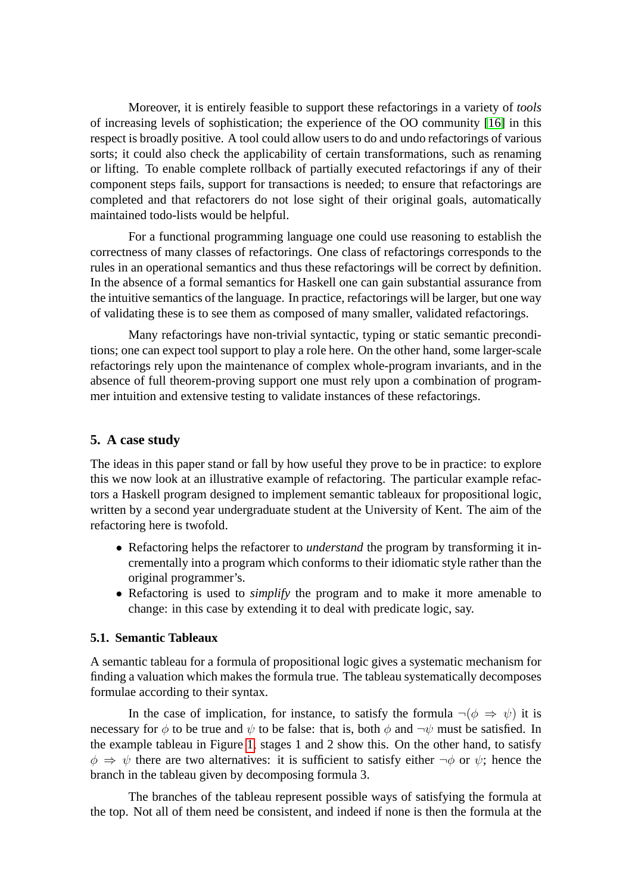Moreover, it is entirely feasible to support these refactorings in a variety of *tools* of increasing levels of sophistication; the experience of the OO community [\[16\]](#page-15-5) in this respect is broadly positive. A tool could allow users to do and undo refactorings of various sorts; it could also check the applicability of certain transformations, such as renaming or lifting. To enable complete rollback of partially executed refactorings if any of their component steps fails, support for transactions is needed; to ensure that refactorings are completed and that refactorers do not lose sight of their original goals, automatically maintained todo-lists would be helpful.

For a functional programming language one could use reasoning to establish the correctness of many classes of refactorings. One class of refactorings corresponds to the rules in an operational semantics and thus these refactorings will be correct by definition. In the absence of a formal semantics for Haskell one can gain substantial assurance from the intuitive semantics of the language. In practice, refactorings will be larger, but one way of validating these is to see them as composed of many smaller, validated refactorings.

Many refactorings have non-trivial syntactic, typing or static semantic preconditions; one can expect tool support to play a role here. On the other hand, some larger-scale refactorings rely upon the maintenance of complex whole-program invariants, and in the absence of full theorem-proving support one must rely upon a combination of programmer intuition and extensive testing to validate instances of these refactorings.

#### <span id="page-4-0"></span>**5. A case study**

The ideas in this paper stand or fall by how useful they prove to be in practice: to explore this we now look at an illustrative example of refactoring. The particular example refactors a Haskell program designed to implement semantic tableaux for propositional logic, written by a second year undergraduate student at the University of Kent. The aim of the refactoring here is twofold.

- Refactoring helps the refactorer to *understand* the program by transforming it incrementally into a program which conforms to their idiomatic style rather than the original programmer's.
- Refactoring is used to *simplify* the program and to make it more amenable to change: in this case by extending it to deal with predicate logic, say.

#### **5.1. Semantic Tableaux**

A semantic tableau for a formula of propositional logic gives a systematic mechanism for finding a valuation which makes the formula true. The tableau systematically decomposes formulae according to their syntax.

In the case of implication, for instance, to satisfy the formula  $\neg(\phi \Rightarrow \psi)$  it is necessary for  $\phi$  to be true and  $\psi$  to be false: that is, both  $\phi$  and  $\neg \psi$  must be satisfied. In the example tableau in Figure [1,](#page-4-0) stages 1 and 2 show this. On the other hand, to satisfy  $\phi \Rightarrow \psi$  there are two alternatives: it is sufficient to satisfy either  $\neg \phi$  or  $\psi$ ; hence the branch in the tableau given by decomposing formula 3.

The branches of the tableau represent possible ways of satisfying the formula at the top. Not all of them need be consistent, and indeed if none is then the formula at the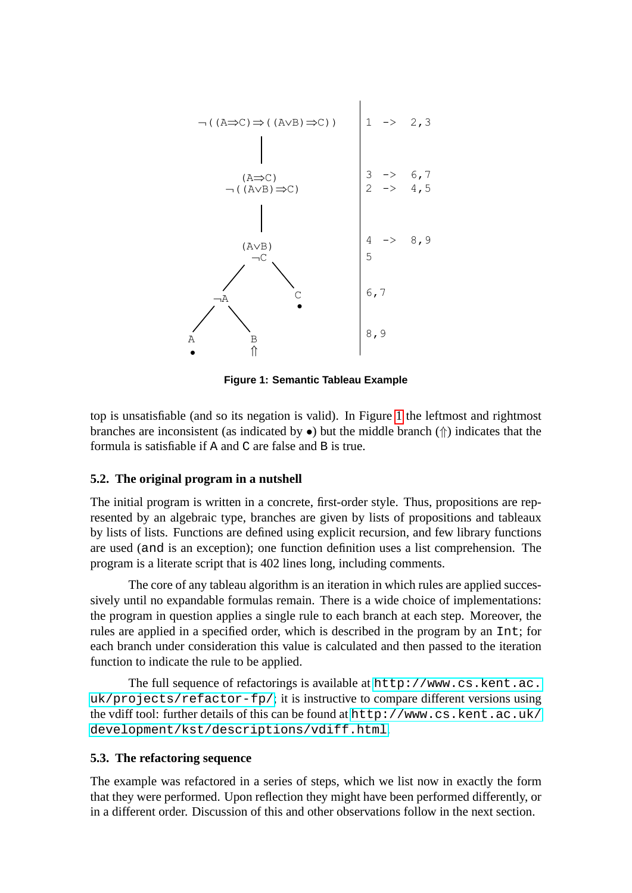

**Figure 1: Semantic Tableau Example**

top is unsatisfiable (and so its negation is valid). In Figure [1](#page-4-0) the leftmost and rightmost branches are inconsistent (as indicated by  $\bullet$ ) but the middle branch ( $\Uparrow$ ) indicates that the formula is satisfiable if A and C are false and B is true.

#### **5.2. The original program in a nutshell**

The initial program is written in a concrete, first-order style. Thus, propositions are represented by an algebraic type, branches are given by lists of propositions and tableaux by lists of lists. Functions are defined using explicit recursion, and few library functions are used (and is an exception); one function definition uses a list comprehension. The program is a literate script that is 402 lines long, including comments.

The core of any tableau algorithm is an iteration in which rules are applied successively until no expandable formulas remain. There is a wide choice of implementations: the program in question applies a single rule to each branch at each step. Moreover, the rules are applied in a specified order, which is described in the program by an Int; for each branch under consideration this value is calculated and then passed to the iteration function to indicate the rule to be applied.

The full sequence of refactorings is available at [http://www.cs.kent.ac.](http://www.cs.kent.ac.uk/projects/refactor-fp/) [uk/projects/refactor-fp/](http://www.cs.kent.ac.uk/projects/refactor-fp/); it is instructive to compare different versions using the vdiff tool: further details of this can be found at [http://www.cs.kent.ac.uk/](http://www.cs.kent.ac.uk/development/kst/descriptions/vdiff.html) [development/kst/descriptions/vdiff.html](http://www.cs.kent.ac.uk/development/kst/descriptions/vdiff.html).

#### **5.3. The refactoring sequence**

The example was refactored in a series of steps, which we list now in exactly the form that they were performed. Upon reflection they might have been performed differently, or in a different order. Discussion of this and other observations follow in the next section.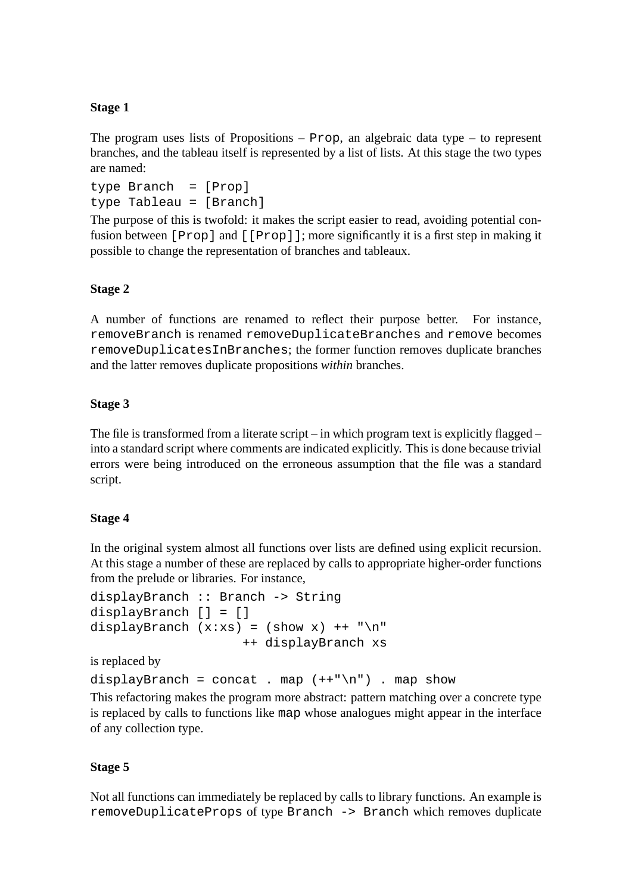### **Stage 1**

The program uses lists of Propositions –  $Prop$ , an algebraic data type – to represent branches, and the tableau itself is represented by a list of lists. At this stage the two types are named:

```
type Branch = [Prop]
type Tableau = [Branch]
```
The purpose of this is twofold: it makes the script easier to read, avoiding potential confusion between [Prop] and [[Prop]]; more significantly it is a first step in making it possible to change the representation of branches and tableaux.

### **Stage 2**

A number of functions are renamed to reflect their purpose better. For instance, removeBranch is renamed removeDuplicateBranches and remove becomes removeDuplicatesInBranches; the former function removes duplicate branches and the latter removes duplicate propositions *within* branches.

### **Stage 3**

The file is transformed from a literate script – in which program text is explicitly flagged – into a standard script where comments are indicated explicitly. This is done because trivial errors were being introduced on the erroneous assumption that the file was a standard script.

#### **Stage 4**

In the original system almost all functions over lists are defined using explicit recursion. At this stage a number of these are replaced by calls to appropriate higher-order functions from the prelude or libraries. For instance,

```
displayBranch :: Branch -> String
displayBranch [] = []
displayBranch (x:xs) = (show x) ++ "n"++ displayBranch xs
```
is replaced by

```
displayBranch = concat . map (++{\infty}) . map show
```
This refactoring makes the program more abstract: pattern matching over a concrete type is replaced by calls to functions like map whose analogues might appear in the interface of any collection type.

#### **Stage 5**

Not all functions can immediately be replaced by calls to library functions. An example is removeDuplicateProps of type Branch -> Branch which removes duplicate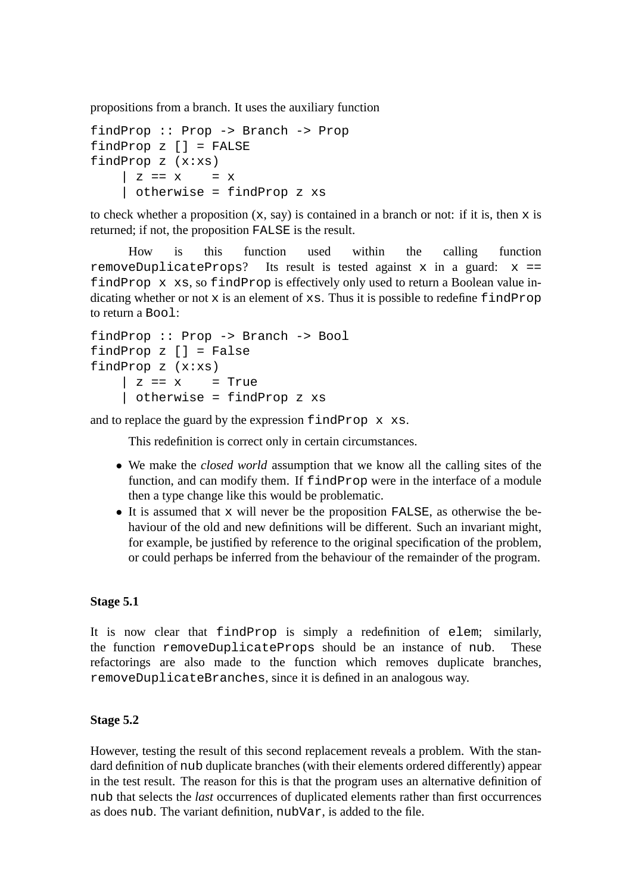propositions from a branch. It uses the auxiliary function

```
findProp :: Prop -> Branch -> Prop
findProp z [] = FALSE
findProp z (x:xs)
    \vert z == x = x
    | otherwise = findProp z xs
```
to check whether a proposition  $(x, say)$  is contained in a branch or not: if it is, then x is returned; if not, the proposition FALSE is the result.

How is this function used within the calling function removeDuplicateProps? Its result is tested against x in a guard:  $x ==$ findProp x xs, so findProp is effectively only used to return a Boolean value indicating whether or not  $x$  is an element of  $xs$ . Thus it is possible to redefine  $f$  indProp to return a Bool:

```
findProp :: Prop -> Branch -> Bool
findProp z [] = False
findProp z (x:xs)
    | z == x = True| otherwise = findProp z xs
```
and to replace the guard by the expression findProp x xs.

This redefinition is correct only in certain circumstances.

- We make the *closed world* assumption that we know all the calling sites of the function, and can modify them. If findProp were in the interface of a module then a type change like this would be problematic.
- It is assumed that  $x$  will never be the proposition FALSE, as otherwise the behaviour of the old and new definitions will be different. Such an invariant might, for example, be justified by reference to the original specification of the problem, or could perhaps be inferred from the behaviour of the remainder of the program.

#### **Stage 5.1**

It is now clear that findProp is simply a redefinition of elem; similarly, the function removeDuplicateProps should be an instance of nub. These refactorings are also made to the function which removes duplicate branches, removeDuplicateBranches, since it is defined in an analogous way.

#### **Stage 5.2**

However, testing the result of this second replacement reveals a problem. With the standard definition of nub duplicate branches (with their elements ordered differently) appear in the test result. The reason for this is that the program uses an alternative definition of nub that selects the *last* occurrences of duplicated elements rather than first occurrences as does nub. The variant definition, nubVar, is added to the file.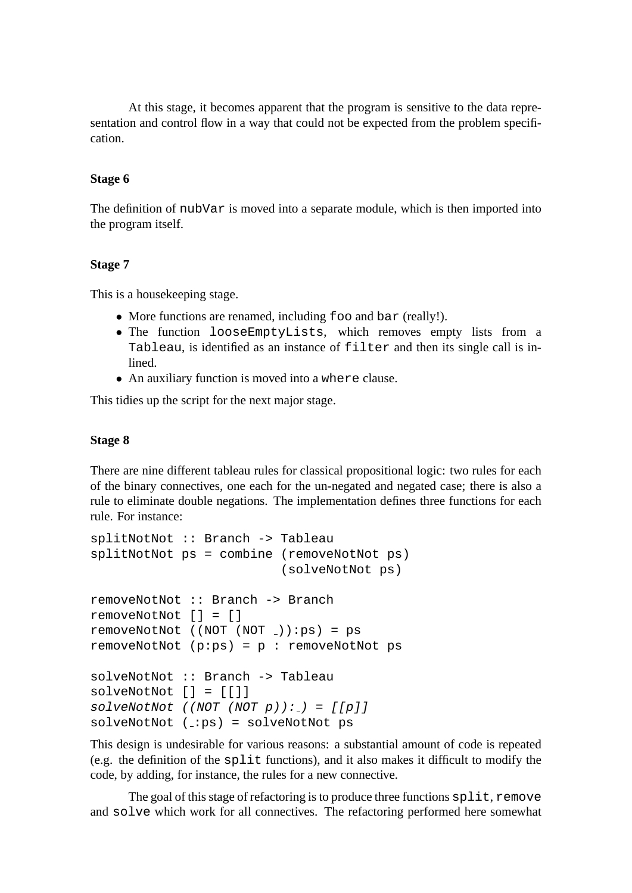At this stage, it becomes apparent that the program is sensitive to the data representation and control flow in a way that could not be expected from the problem specification.

#### **Stage 6**

The definition of nubVar is moved into a separate module, which is then imported into the program itself.

#### **Stage 7**

This is a housekeeping stage.

- More functions are renamed, including foo and bar (really!).
- The function looseEmptyLists, which removes empty lists from a Tableau, is identified as an instance of filter and then its single call is inlined.
- An auxiliary function is moved into a where clause.

This tidies up the script for the next major stage.

#### **Stage 8**

There are nine different tableau rules for classical propositional logic: two rules for each of the binary connectives, one each for the un-negated and negated case; there is also a rule to eliminate double negations. The implementation defines three functions for each rule. For instance:

```
splitNotNot :: Branch -> Tableau
splitNotNot ps = combine (removeNotNot ps)
                         (solveNotNot ps)
removeNotNot :: Branch -> Branch
removeNotNot [] = []
removeNotNot ((NOT (NOT )):ps) = ps
removeNotNot (p:ps) = p : removeNothot pssolveNotNot :: Branch -> Tableau
solveNotNot [] = [[]]
solveNotNot (NOT (NOT p)) := [[p]]solveNotNot (_:ps) = solveNotNot ps
```
This design is undesirable for various reasons: a substantial amount of code is repeated (e.g. the definition of the split functions), and it also makes it difficult to modify the code, by adding, for instance, the rules for a new connective.

The goal of this stage of refactoring is to produce three functions split, remove and solve which work for all connectives. The refactoring performed here somewhat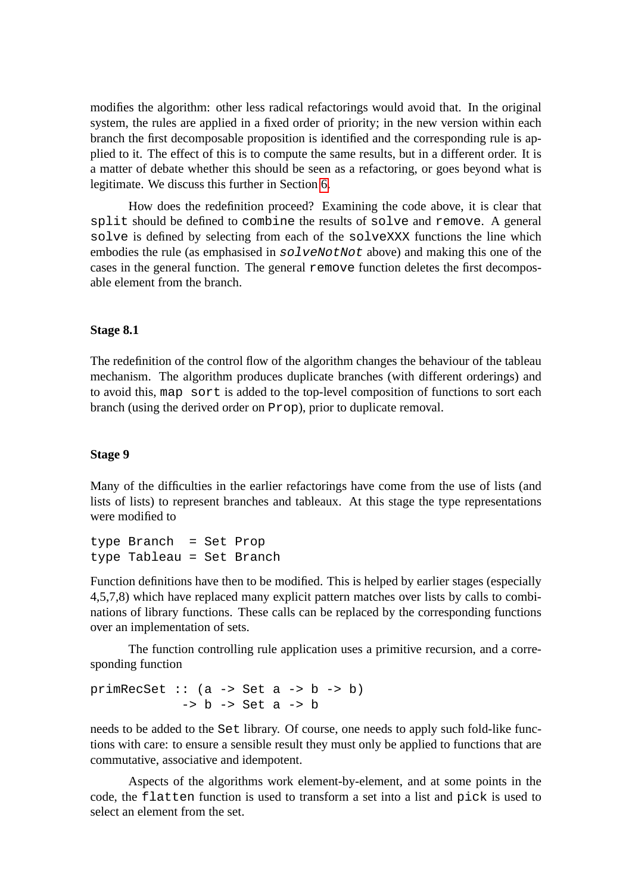modifies the algorithm: other less radical refactorings would avoid that. In the original system, the rules are applied in a fixed order of priority; in the new version within each branch the first decomposable proposition is identified and the corresponding rule is applied to it. The effect of this is to compute the same results, but in a different order. It is a matter of debate whether this should be seen as a refactoring, or goes beyond what is legitimate. We discuss this further in Section [6.](#page-9-0)

How does the redefinition proceed? Examining the code above, it is clear that split should be defined to combine the results of solve and remove. A general solve is defined by selecting from each of the solveXXX functions the line which embodies the rule (as emphasised in  $solveNotNot$  above) and making this one of the cases in the general function. The general remove function deletes the first decomposable element from the branch.

#### <span id="page-9-0"></span>**Stage 8.1**

The redefinition of the control flow of the algorithm changes the behaviour of the tableau mechanism. The algorithm produces duplicate branches (with different orderings) and to avoid this, map sort is added to the top-level composition of functions to sort each branch (using the derived order on Prop), prior to duplicate removal.

#### **Stage 9**

Many of the difficulties in the earlier refactorings have come from the use of lists (and lists of lists) to represent branches and tableaux. At this stage the type representations were modified to

type Branch = Set Prop type Tableau = Set Branch

Function definitions have then to be modified. This is helped by earlier stages (especially 4,5,7,8) which have replaced many explicit pattern matches over lists by calls to combinations of library functions. These calls can be replaced by the corresponding functions over an implementation of sets.

The function controlling rule application uses a primitive recursion, and a corresponding function

```
primRecSet :: (a \rightarrow Set a \rightarrow b \rightarrow b)\rightarrow b \rightarrow Set a \rightarrow b
```
needs to be added to the Set library. Of course, one needs to apply such fold-like functions with care: to ensure a sensible result they must only be applied to functions that are commutative, associative and idempotent.

Aspects of the algorithms work element-by-element, and at some points in the code, the flatten function is used to transform a set into a list and pick is used to select an element from the set.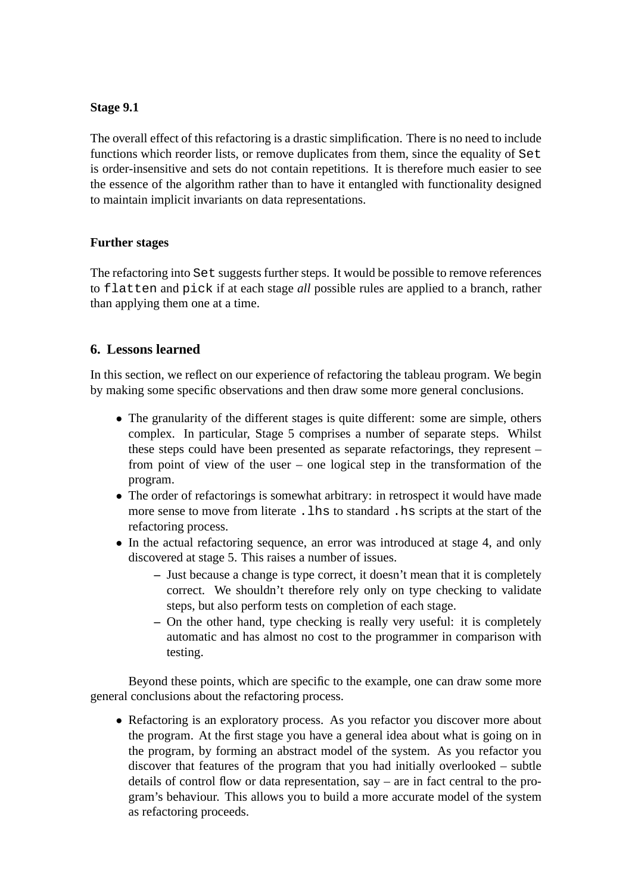#### **Stage 9.1**

The overall effect of this refactoring is a drastic simplification. There is no need to include functions which reorder lists, or remove duplicates from them, since the equality of Set is order-insensitive and sets do not contain repetitions. It is therefore much easier to see the essence of the algorithm rather than to have it entangled with functionality designed to maintain implicit invariants on data representations.

#### **Further stages**

The refactoring into Set suggests further steps. It would be possible to remove references to flatten and pick if at each stage *all* possible rules are applied to a branch, rather than applying them one at a time.

#### **6. Lessons learned**

In this section, we reflect on our experience of refactoring the tableau program. We begin by making some specific observations and then draw some more general conclusions.

- The granularity of the different stages is quite different: some are simple, others complex. In particular, Stage 5 comprises a number of separate steps. Whilst these steps could have been presented as separate refactorings, they represent – from point of view of the user – one logical step in the transformation of the program.
- The order of refactorings is somewhat arbitrary: in retrospect it would have made more sense to move from literate .lhs to standard .hs scripts at the start of the refactoring process.
- In the actual refactoring sequence, an error was introduced at stage 4, and only discovered at stage 5. This raises a number of issues.
	- **–** Just because a change is type correct, it doesn't mean that it is completely correct. We shouldn't therefore rely only on type checking to validate steps, but also perform tests on completion of each stage.
	- **–** On the other hand, type checking is really very useful: it is completely automatic and has almost no cost to the programmer in comparison with testing.

Beyond these points, which are specific to the example, one can draw some more general conclusions about the refactoring process.

• Refactoring is an exploratory process. As you refactor you discover more about the program. At the first stage you have a general idea about what is going on in the program, by forming an abstract model of the system. As you refactor you discover that features of the program that you had initially overlooked – subtle details of control flow or data representation, say – are in fact central to the program's behaviour. This allows you to build a more accurate model of the system as refactoring proceeds.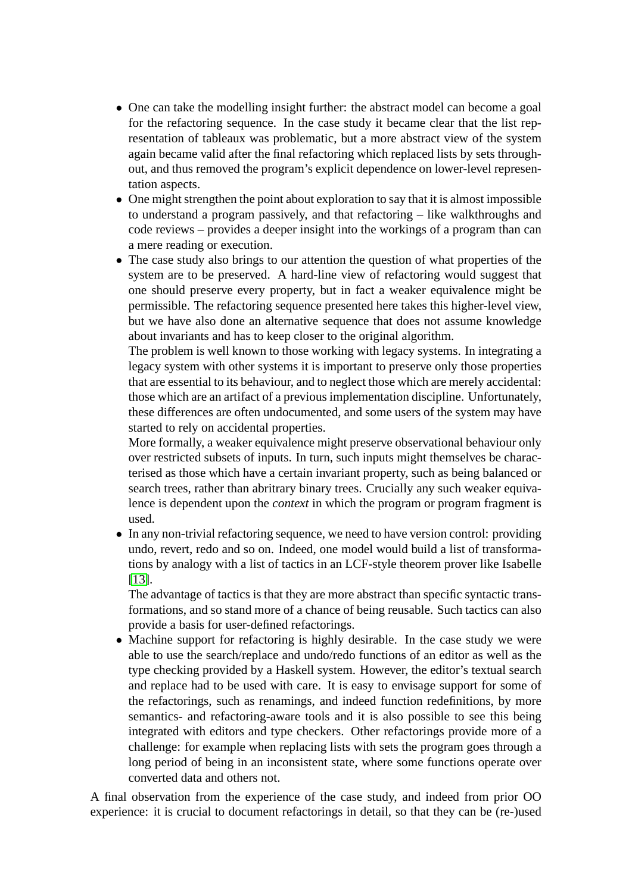- <span id="page-11-0"></span>• One can take the modelling insight further: the abstract model can become a goal for the refactoring sequence. In the case study it became clear that the list representation of tableaux was problematic, but a more abstract view of the system again became valid after the final refactoring which replaced lists by sets throughout, and thus removed the program's explicit dependence on lower-level representation aspects.
- One might strengthen the point about exploration to say that it is almost impossible to understand a program passively, and that refactoring – like walkthroughs and code reviews – provides a deeper insight into the workings of a program than can a mere reading or execution.
- The case study also brings to our attention the question of what properties of the system are to be preserved. A hard-line view of refactoring would suggest that one should preserve every property, but in fact a weaker equivalence might be permissible. The refactoring sequence presented here takes this higher-level view, but we have also done an alternative sequence that does not assume knowledge about invariants and has to keep closer to the original algorithm.

The problem is well known to those working with legacy systems. In integrating a legacy system with other systems it is important to preserve only those properties that are essential to its behaviour, and to neglect those which are merely accidental: those which are an artifact of a previous implementation discipline. Unfortunately, these differences are often undocumented, and some users of the system may have started to rely on accidental properties.

More formally, a weaker equivalence might preserve observational behaviour only over restricted subsets of inputs. In turn, such inputs might themselves be characterised as those which have a certain invariant property, such as being balanced or search trees, rather than abritrary binary trees. Crucially any such weaker equivalence is dependent upon the *context* in which the program or program fragment is used.

• In any non-trivial refactoring sequence, we need to have version control: providing undo, revert, redo and so on. Indeed, one model would build a list of transformations by analogy with a list of tactics in an LCF-style theorem prover like Isabelle [\[13\]](#page-15-6).

The advantage of tactics is that they are more abstract than specific syntactic transformations, and so stand more of a chance of being reusable. Such tactics can also provide a basis for user-defined refactorings.

• Machine support for refactoring is highly desirable. In the case study we were able to use the search/replace and undo/redo functions of an editor as well as the type checking provided by a Haskell system. However, the editor's textual search and replace had to be used with care. It is easy to envisage support for some of the refactorings, such as renamings, and indeed function redefinitions, by more semantics- and refactoring-aware tools and it is also possible to see this being integrated with editors and type checkers. Other refactorings provide more of a challenge: for example when replacing lists with sets the program goes through a long period of being in an inconsistent state, where some functions operate over converted data and others not.

A final observation from the experience of the case study, and indeed from prior OO experience: it is crucial to document refactorings in detail, so that they can be (re-)used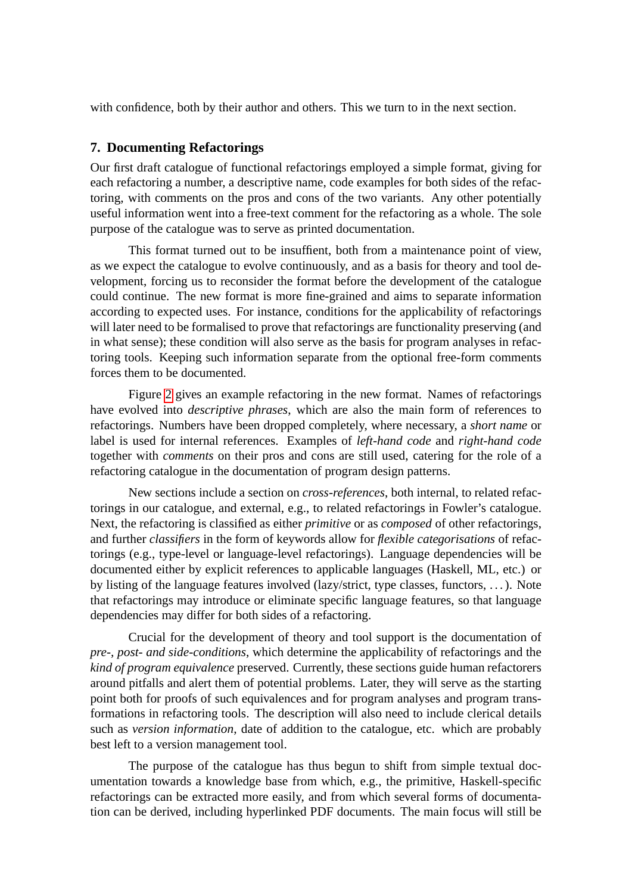with confidence, both by their author and others. This we turn to in the next section.

#### **7. Documenting Refactorings**

Our first draft catalogue of functional refactorings employed a simple format, giving for each refactoring a number, a descriptive name, code examples for both sides of the refactoring, with comments on the pros and cons of the two variants. Any other potentially useful information went into a free-text comment for the refactoring as a whole. The sole purpose of the catalogue was to serve as printed documentation.

This format turned out to be insuffient, both from a maintenance point of view, as we expect the catalogue to evolve continuously, and as a basis for theory and tool development, forcing us to reconsider the format before the development of the catalogue could continue. The new format is more fine-grained and aims to separate information according to expected uses. For instance, conditions for the applicability of refactorings will later need to be formalised to prove that refactorings are functionality preserving (and in what sense); these condition will also serve as the basis for program analyses in refactoring tools. Keeping such information separate from the optional free-form comments forces them to be documented.

Figure [2](#page-12-0) gives an example refactoring in the new format. Names of refactorings have evolved into *descriptive phrases*, which are also the main form of references to refactorings. Numbers have been dropped completely, where necessary, a *short name* or label is used for internal references. Examples of *left-hand code* and *right-hand code* together with *comments* on their pros and cons are still used, catering for the role of a refactoring catalogue in the documentation of program design patterns.

New sections include a section on *cross-references*, both internal, to related refactorings in our catalogue, and external, e.g., to related refactorings in Fowler's catalogue. Next, the refactoring is classified as either *primitive* or as *composed* of other refactorings, and further *classifiers* in the form of keywords allow for *flexible categorisations* of refactorings (e.g., type-level or language-level refactorings). Language dependencies will be documented either by explicit references to applicable languages (Haskell, ML, etc.) or by listing of the language features involved (lazy/strict, type classes, functors, . . . ). Note that refactorings may introduce or eliminate specific language features, so that language dependencies may differ for both sides of a refactoring.

Crucial for the development of theory and tool support is the documentation of *pre-, post- and side-conditions*, which determine the applicability of refactorings and the *kind of program equivalence* preserved. Currently, these sections guide human refactorers around pitfalls and alert them of potential problems. Later, they will serve as the starting point both for proofs of such equivalences and for program analyses and program transformations in refactoring tools. The description will also need to include clerical details such as *version information*, date of addition to the catalogue, etc. which are probably best left to a version management tool.

<span id="page-12-0"></span>The purpose of the catalogue has thus begun to shift from simple textual documentation towards a knowledge base from which, e.g., the primitive, Haskell-specific refactorings can be extracted more easily, and from which several forms of documentation can be derived, including hyperlinked PDF documents. The main focus will still be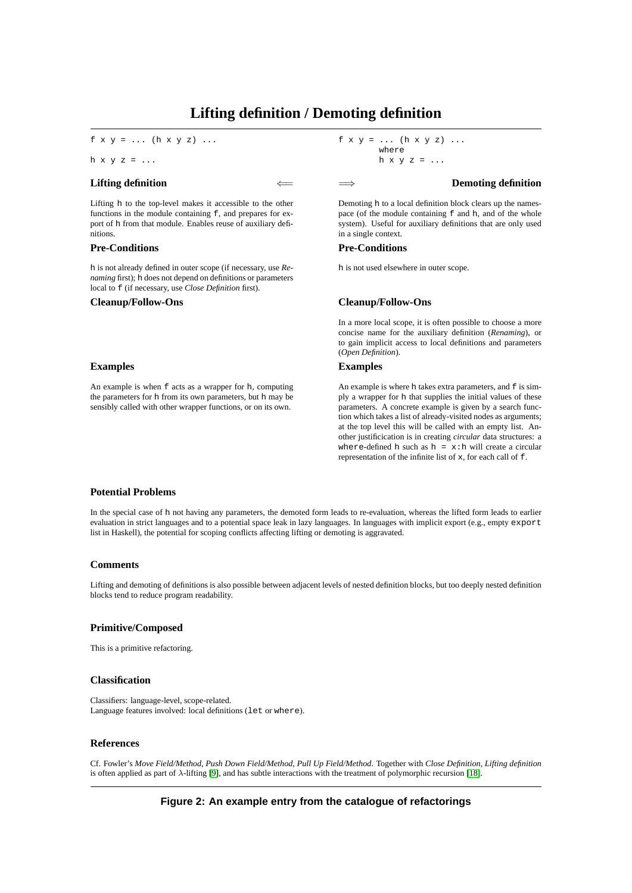#### **Lifting definition / Demoting definition**

f  $x y = ... (h x y z) ...$ 

h  $x y z = ...$ 

#### **Lifting definition**

Lifting h to the top-level makes it accessible to the other functions in the module containing  $f$ , and prepares for export of h from that module. Enables reuse of auxiliary definitions.

#### **Pre-Conditions**

h is not already defined in outer scope (if necessary, use *Renaming* first); h does not depend on definitions or parameters local to f (if necessary, use *Close Definition* first).

#### **Examples**

An example is when f acts as a wrapper for h, computing the parameters for h from its own parameters, but h may be sensibly called with other wrapper functions, or on its own.

f  $x y = ... (h x y z) ...$ where h  $x y z = ...$ 

#### =⇒ **Demoting definition**

Demoting h to a local definition block clears up the namespace (of the module containing  $f$  and h, and of the whole system). Useful for auxiliary definitions that are only used in a single context.

#### **Pre-Conditions**

h is not used elsewhere in outer scope.

#### **Cleanup/Follow-Ons Cleanup/Follow-Ons**

In a more local scope, it is often possible to choose a more concise name for the auxiliary definition (*Renaming*), or to gain implicit access to local definitions and parameters (*Open Definition*).

#### **Examples**

An example is where h takes extra parameters, and f is simply a wrapper for h that supplies the initial values of these parameters. A concrete example is given by a search function which takes a list of already-visited nodes as arguments; at the top level this will be called with an empty list. Another justificication is in creating *circular* data structures: a where-defined h such as  $h = x : h$  will create a circular representation of the infinite list of x, for each call of f.

#### **Potential Problems**

In the special case of h not having any parameters, the demoted form leads to re-evaluation, whereas the lifted form leads to earlier evaluation in strict languages and to a potential space leak in lazy languages. In languages with implicit export (e.g., empty export list in Haskell), the potential for scoping conflicts affecting lifting or demoting is aggravated.

#### **Comments**

Lifting and demoting of definitions is also possible between adjacent levels of nested definition blocks, but too deeply nested definition blocks tend to reduce program readability.

#### **Primitive/Composed**

This is a primitive refactoring.

#### **Classification**

Classifiers: language-level, scope-related. Language features involved: local definitions (let or where).

#### **References**

Cf. Fowler's *Move Field/Method*, *Push Down Field/Method*, *Pull Up Field/Method*. Together with *Close Definition*, *Lifting definition* is often applied as part of λ-lifting [\[9\]](#page-15-7), and has subtle interactions with the treatment of polymorphic recursion [\[18\]](#page-15-8).

**Figure 2: An example entry from the catalogue of refactorings**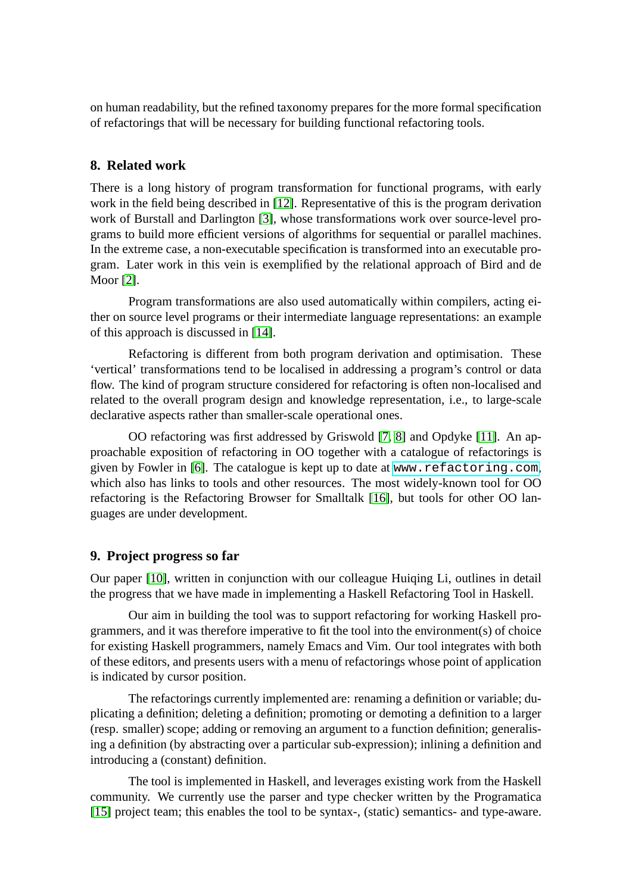on human readability, but the refined taxonomy prepares for the more formal specification of refactorings that will be necessary for building functional refactoring tools.

#### **8. Related work**

There is a long history of program transformation for functional programs, with early work in the field being described in [\[12\]](#page-15-9). Representative of this is the program derivation work of Burstall and Darlington [\[3\]](#page-14-1), whose transformations work over source-level programs to build more efficient versions of algorithms for sequential or parallel machines. In the extreme case, a non-executable specification is transformed into an executable program. Later work in this vein is exemplified by the relational approach of Bird and de Moor [\[2\]](#page-14-4).

Program transformations are also used automatically within compilers, acting either on source level programs or their intermediate language representations: an example of this approach is discussed in [\[14\]](#page-15-10).

Refactoring is different from both program derivation and optimisation. These 'vertical' transformations tend to be localised in addressing a program's control or data flow. The kind of program structure considered for refactoring is often non-localised and related to the overall program design and knowledge representation, i.e., to large-scale declarative aspects rather than smaller-scale operational ones.

OO refactoring was first addressed by Griswold [\[7,](#page-15-0) [8\]](#page-15-1) and Opdyke [\[11\]](#page-15-3). An approachable exposition of refactoring in OO together with a catalogue of refactorings is given by Fowler in [\[6\]](#page-15-2). The catalogue is kept up to date at <www.refactoring.com>, which also has links to tools and other resources. The most widely-known tool for OO refactoring is the Refactoring Browser for Smalltalk [\[16\]](#page-15-5), but tools for other OO languages are under development.

#### **9. Project progress so far**

Our paper [\[10\]](#page-15-4), written in conjunction with our colleague Huiqing Li, outlines in detail the progress that we have made in implementing a Haskell Refactoring Tool in Haskell.

<span id="page-14-3"></span>Our aim in building the tool was to support refactoring for working Haskell programmers, and it was therefore imperative to fit the tool into the environment(s) of choice for existing Haskell programmers, namely Emacs and Vim. Our tool integrates with both of these editors, and presents users with a menu of refactorings whose point of application is indicated by cursor position.

<span id="page-14-4"></span><span id="page-14-2"></span><span id="page-14-1"></span>The refactorings currently implemented are: renaming a definition or variable; duplicating a definition; deleting a definition; promoting or demoting a definition to a larger (resp. smaller) scope; adding or removing an argument to a function definition; generalising a definition (by abstracting over a particular sub-expression); inlining a definition and introducing a (constant) definition.

<span id="page-14-0"></span>The tool is implemented in Haskell, and leverages existing work from the Haskell community. We currently use the parser and type checker written by the Programatica [\[15\]](#page-15-11) project team; this enables the tool to be syntax-, (static) semantics- and type-aware.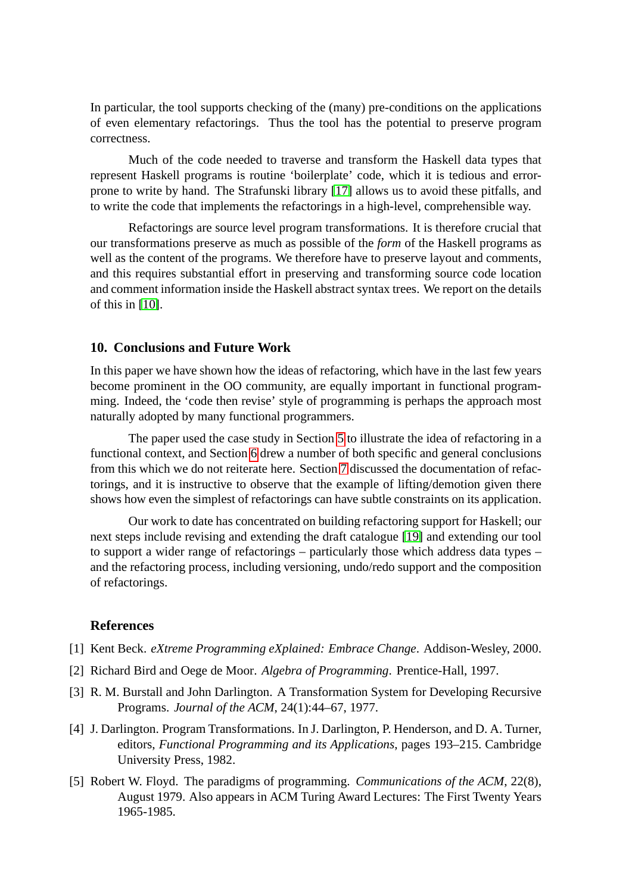<span id="page-15-2"></span>In particular, the tool supports checking of the (many) pre-conditions on the applications of even elementary refactorings. Thus the tool has the potential to preserve program correctness.

<span id="page-15-0"></span>Much of the code needed to traverse and transform the Haskell data types that represent Haskell programs is routine 'boilerplate' code, which it is tedious and errorprone to write by hand. The Strafunski library [\[17\]](#page-15-12) allows us to avoid these pitfalls, and to write the code that implements the refactorings in a high-level, comprehensible way.

<span id="page-15-7"></span><span id="page-15-1"></span>Refactorings are source level program transformations. It is therefore crucial that our transformations preserve as much as possible of the *form* of the Haskell programs as well as the content of the programs. We therefore have to preserve layout and comments, and this requires substantial effort in preserving and transforming source code location and comment information inside the Haskell abstract syntax trees. We report on the details of this in [\[10\]](#page-15-4).

#### <span id="page-15-4"></span>**10. Conclusions and Future Work**

<span id="page-15-3"></span>In this paper we have shown how the ideas of refactoring, which have in the last few years become prominent in the OO community, are equally important in functional programming. Indeed, the 'code then revise' style of programming is perhaps the approach most naturally adopted by many functional programmers.

<span id="page-15-9"></span><span id="page-15-6"></span>The paper used the case study in Section [5](#page-3-0) to illustrate the idea of refactoring in a functional context, and Section [6](#page-9-0) drew a number of both specific and general conclusions from this which we do not reiterate here. Section [7](#page-11-0) discussed the documentation of refactorings, and it is instructive to observe that the example of lifting/demotion given there shows how even the simplest of refactorings can have subtle constraints on its application.

<span id="page-15-11"></span><span id="page-15-10"></span><span id="page-15-5"></span>Our work to date has concentrated on building refactoring support for Haskell; our next steps include revising and extending the draft catalogue [\[19\]](#page-15-13) and extending our tool to support a wider range of refactorings – particularly those which address data types – and the refactoring process, including versioning, undo/redo support and the composition of refactorings.

#### <span id="page-15-12"></span>**References**

- <span id="page-15-8"></span>[1] Kent Beck. *eXtreme Programming eXplained: Embrace Change*. Addison-Wesley, 2000.
- [2] Richard Bird and Oege de Moor. *Algebra of Programming*. Prentice-Hall, 1997.
- <span id="page-15-13"></span>[3] R. M. Burstall and John Darlington. A Transformation System for Developing Recursive Programs. *Journal of the ACM*, 24(1):44–67, 1977.
- [4] J. Darlington. Program Transformations. In J. Darlington, P. Henderson, and D. A. Turner, editors, *Functional Programming and its Applications*, pages 193–215. Cambridge University Press, 1982.
- [5] Robert W. Floyd. The paradigms of programming. *Communications of the ACM*, 22(8), August 1979. Also appears in ACM Turing Award Lectures: The First Twenty Years 1965-1985.